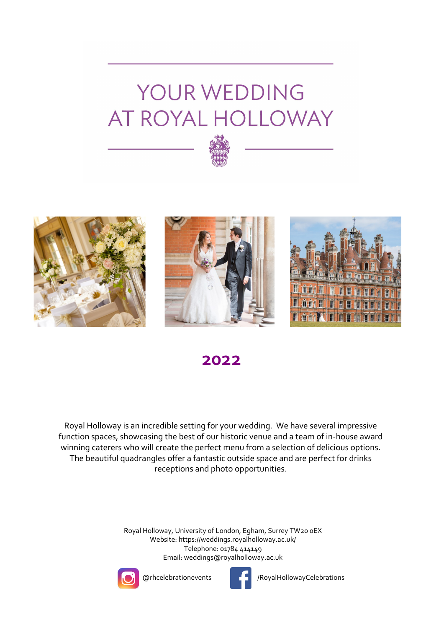



## **2022**

Royal Holloway is an incredible setting for your wedding. We have several impressive function spaces, showcasing the best of our historic venue and a team of in-house award winning caterers who will create the perfect menu from a selection of delicious options. The beautiful quadrangles offer a fantastic outside space and are perfect for drinks receptions and photo opportunities.

> Royal Holloway, University of London, Egham, Surrey TW20 0EX Website: https://weddings.royalholloway.ac.uk/ Telephone: 01784 414149 Email: weddings@royalholloway.ac.uk





@rhcelebrationevents /RoyalHollowayCelebrations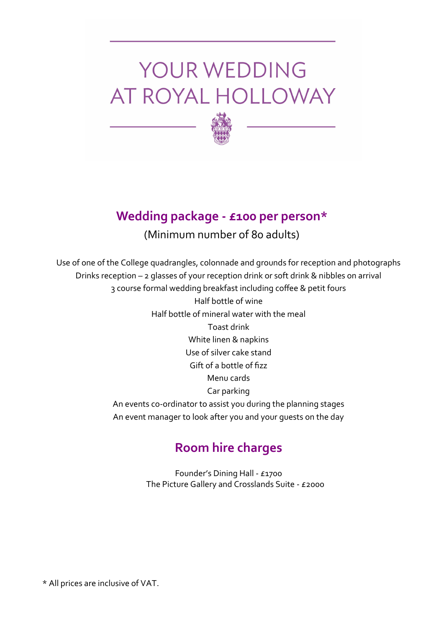

## **Wedding package - £100 per person\***

## (Minimum number of 80 adults)

Use of one of the College quadrangles, colonnade and grounds for reception and photographs Drinks reception – 2 glasses of your reception drink or soft drink & nibbles on arrival 3 course formal wedding breakfast including coffee & petit fours Half bottle of wine Half bottle of mineral water with the meal Toast drink White linen & napkins Use of silver cake stand Gift of a bottle of fizz Menu cards Car parking An events co-ordinator to assist you during the planning stages An event manager to look after you and your guests on the day

## **Room hire charges**

Founder's Dining Hall - £1700 The Picture Gallery and Crosslands Suite - £2000

\* All prices are inclusive of VAT.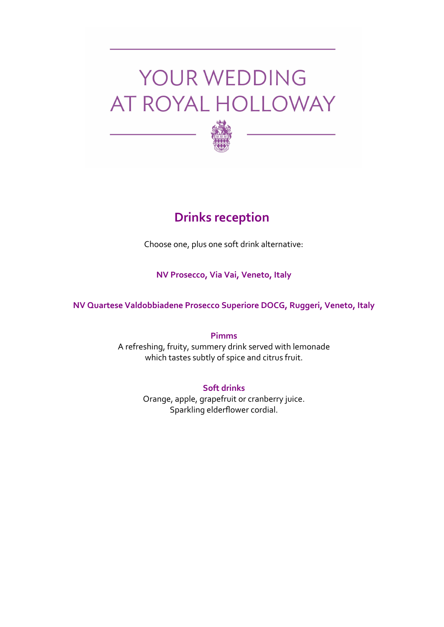

## **Drinks reception**

Choose one, plus one soft drink alternative:

### **NV Prosecco, Via Vai, Veneto, Italy**

**NV Quartese Valdobbiadene Prosecco Superiore DOCG, Ruggeri, Veneto, Italy** 

**Pimms** A refreshing, fruity, summery drink served with lemonade which tastes subtly of spice and citrus fruit.

> **Soft drinks** Orange, apple, grapefruit or cranberry juice. Sparkling elderflower cordial.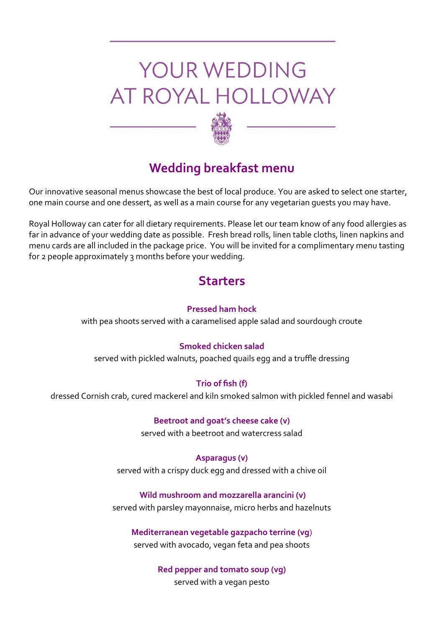

## **Wedding breakfast menu**

Our innovative seasonal menus showcase the best of local produce. You are asked to select one starter, one main course and one dessert, as well as a main course for any vegetarian guests you may have.

Royal Holloway can cater for all dietary requirements. Please let our team know of any food allergies as far in advance of your wedding date as possible. Fresh bread rolls, linen table cloths, linen napkins and menu cards are all included in the package price. You will be invited for a complimentary menu tasting for 2 people approximately 3 months before your wedding.

## **Starters**

#### **Pressed ham hock**

with pea shoots served with a caramelised apple salad and sourdough croute

### **Smoked chicken salad**

served with pickled walnuts, poached quails egg and a truffle dressing

### **Trio of fish (f)**

dressed Cornish crab, cured mackerel and kiln smoked salmon with pickled fennel and wasabi

## **Beetroot and goat's cheese cake (v)**

served with a beetroot and watercress salad

#### **Asparagus (v)**

served with a crispy duck egg and dressed with a chive oil

#### **Wild mushroom and mozzarella arancini (v)**

served with parsley mayonnaise, micro herbs and hazelnuts

### **Mediterranean vegetable gazpacho terrine (vg**)

served with avocado, vegan feta and pea shoots

**Red pepper and tomato soup (vg)**

served with a vegan pesto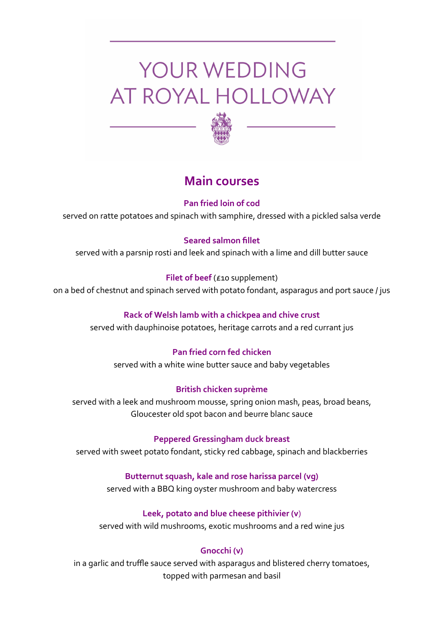

## **Main courses**

## **Pan fried loin of cod**

served on ratte potatoes and spinach with samphire, dressed with a pickled salsa verde

## **Seared salmon fillet**

served with a parsnip rosti and leek and spinach with a lime and dill butter sauce

## **Filet of beef** (£10 supplement)

on a bed of chestnut and spinach served with potato fondant, asparagus and port sauce / jus

## **Rack of Welsh lamb with a chickpea and chive crust**

served with dauphinoise potatoes, heritage carrots and a red currant jus

## **Pan fried corn fed chicken**

served with a white wine butter sauce and baby vegetables

## **British chicken suprème**

served with a leek and mushroom mousse, spring onion mash, peas, broad beans, Gloucester old spot bacon and beurre blanc sauce

## **Peppered Gressingham duck breast**

served with sweet potato fondant, sticky red cabbage, spinach and blackberries

## **Butternut squash, kale and rose harissa parcel (vg)**

served with a BBQ king oyster mushroom and baby watercress

## **Leek, potato and blue cheese pithivier (v**)

served with wild mushrooms, exotic mushrooms and a red wine jus

## **Gnocchi (v)**

in a garlic and truffle sauce served with asparagus and blistered cherry tomatoes, topped with parmesan and basil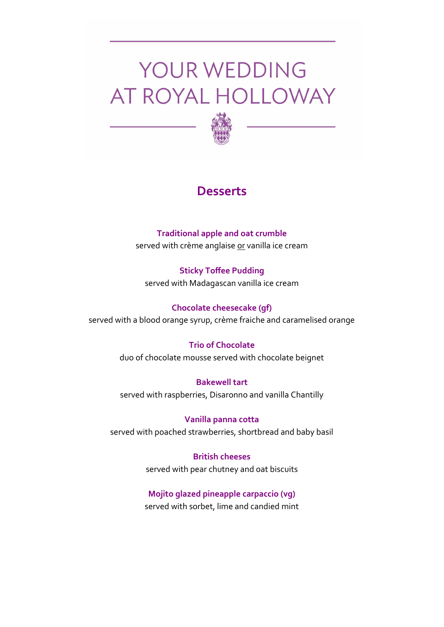

## **Desserts**

## **Traditional apple and oat crumble**  served with crème anglaise or vanilla ice cream

**Sticky Toffee Pudding**  served with Madagascan vanilla ice cream

## **Chocolate cheesecake (gf)**

served with a blood orange syrup, crème fraiche and caramelised orange

## **Trio of Chocolate**

duo of chocolate mousse served with chocolate beignet

**Bakewell tart**  served with raspberries, Disaronno and vanilla Chantilly

**Vanilla panna cotta**  served with poached strawberries, shortbread and baby basil

> **British cheeses**  served with pear chutney and oat biscuits

### **Mojito glazed pineapple carpaccio (vg)**

served with sorbet, lime and candied mint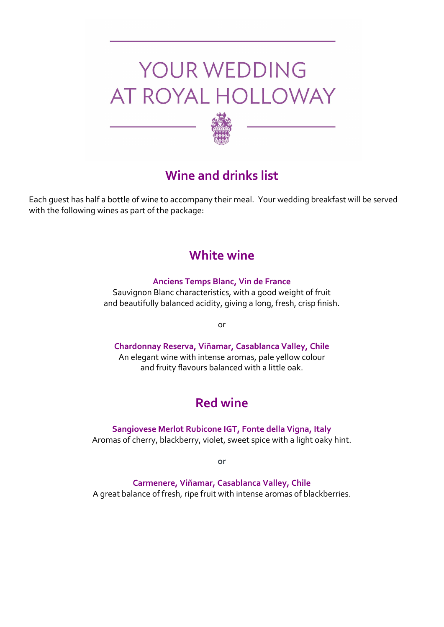

## **Wine and drinks list**

Each guest has half a bottle of wine to accompany their meal. Your wedding breakfast will be served with the following wines as part of the package:

## **White wine**

#### **Anciens Temps Blanc, Vin de France**

Sauvignon Blanc characteristics, with a good weight of fruit and beautifully balanced acidity, giving a long, fresh, crisp finish.

or

## **Chardonnay Reserva, Viñamar, Casablanca Valley, Chile**

An elegant wine with intense aromas, pale yellow colour and fruity flavours balanced with a little oak.

## **Red wine**

**Sangiovese Merlot Rubicone IGT, Fonte della Vigna, Italy** Aromas of cherry, blackberry, violet, sweet spice with a light oaky hint.

**or**

**Carmenere, Viñamar, Casablanca Valley, Chile**

A great balance of fresh, ripe fruit with intense aromas of blackberries.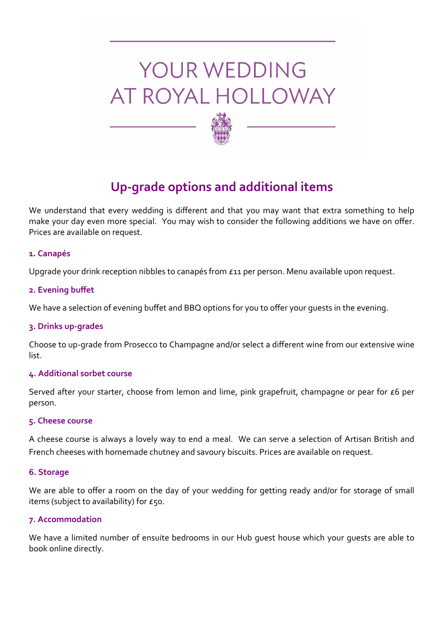

## **Up-grade options and additional items**

We understand that every wedding is different and that you may want that extra something to help make your day even more special. You may wish to consider the following additions we have on offer. Prices are available on request.

#### **1. Canapés**

Upgrade your drink reception nibbles to canapés from £11 per person. Menu available upon request.

#### **2. Evening buffet**

We have a selection of evening buffet and BBQ options for you to offer your guests in the evening.

#### **3. Drinks up-grades**

Choose to up-grade from Prosecco to Champagne and/or select a different wine from our extensive wine list.

#### **4. Additional sorbet course**

Served after your starter, choose from lemon and lime, pink grapefruit, champagne or pear for £6 per person.

#### **5. Cheese course**

A cheese course is always a lovely way to end a meal. We can serve a selection of Artisan British and French cheeses with homemade chutney and savoury biscuits. Prices are available on request.

#### **6. Storage**

We are able to offer a room on the day of your wedding for getting ready and/or for storage of small items (subject to availability) for  $E$ 50.

#### **7. Accommodation**

We have a limited number of ensuite bedrooms in our Hub guest house which your guests are able to book online directly.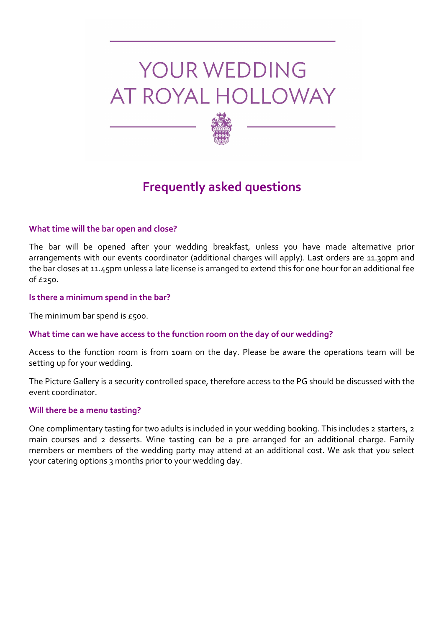

## **Frequently asked questions**

#### **What time will the bar open and close?**

The bar will be opened after your wedding breakfast, unless you have made alternative prior arrangements with our events coordinator (additional charges will apply). Last orders are 11.30pm and the bar closes at 11.45pm unless a late license is arranged to extend this for one hour for an additional fee of £250.

#### **Is there a minimum spend in the bar?**

The minimum bar spend is  $E$ 500.

#### **What time can we have access to the function room on the day of our wedding?**

Access to the function room is from 10am on the day. Please be aware the operations team will be setting up for your wedding.

The Picture Gallery is a security controlled space, therefore access to the PG should be discussed with the event coordinator.

#### **Will there be a menu tasting?**

One complimentary tasting for two adults is included in your wedding booking. This includes 2 starters, 2 main courses and 2 desserts. Wine tasting can be a pre arranged for an additional charge. Family members or members of the wedding party may attend at an additional cost. We ask that you select your catering options 3 months prior to your wedding day.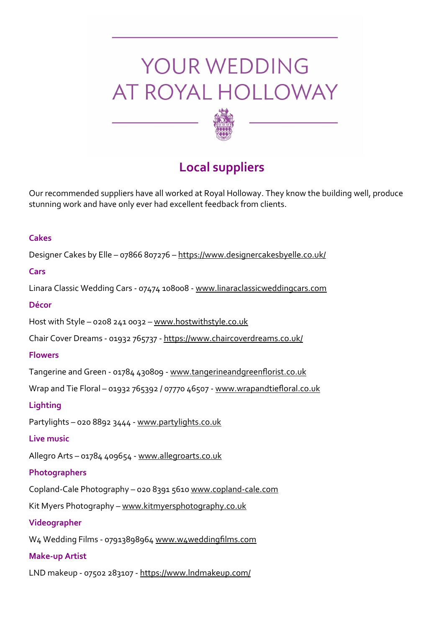

## **Local suppliers**

Our recommended suppliers have all worked at Royal Holloway. They know the building well, produce stunning work and have only ever had excellent feedback from clients.

### **Cakes**

Designer Cakes by Elle – 07866 807276 – https://www.designercakesbyelle.co.uk/

## **Cars**

Linara Classic Wedding Cars - 07474 108008 - [www.linaraclassicweddingcars.com](http://www.linaraclassicweddingcars.com/)

### **Décor**

Host with Style – 0208 241 0032 – [www.hostwithstyle.co.uk](http://www.hostwithstyle.co.uk/)

Chair Cover Dreams - 01932 765737 - <https://www.chaircoverdreams.co.uk/>

### **Flowers**

Tangerine and Green - 01784 430809 - www.tangerineandgreenflorist.co.uk

Wrap and Tie Floral – 01932 765392 / 07770 46507 - [www.wrapandtiefloral.co.uk](http://www.wrapandtiefloral.co.uk/)

## **Lighting**

Partylights - 020 8892 3444 - [www.partylights.co.uk](http://www.partylights.co.uk/)

## **Live music**

Allegro Arts – 01784 409654 - [www.allegroarts.co.uk](http://www.allegroartslivemusic.co.uk/)

## **Photographers**

Copland-Cale Photography – 020 8391 5610 [www.copland](http://www.copland-cale.com/)-cale.com

Kit Myers Photography – [www.kitmyersphotography.co.uk](http://www.kitmyersphotography.co.uk/)

## **Videographer**

W4 Wedding Films - 07913898964 [www.w4weddingfilms.com](http://www.w4weddingfilms.com)

## **Make-up Artist**

LND makeup - 07502 283107 - <https://www.lndmakeup.com/>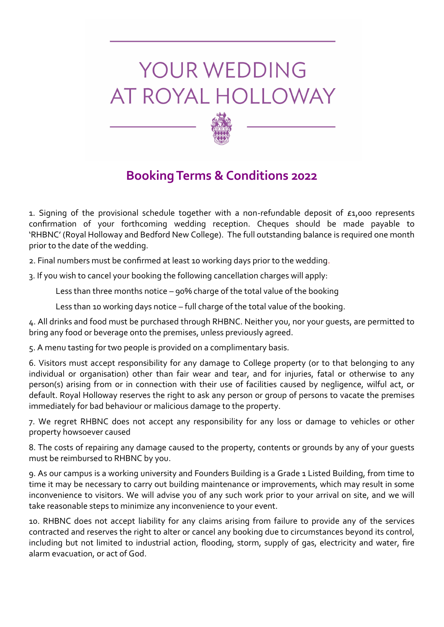

1. Signing of the provisional schedule together with a non-refundable deposit of £1,000 represents confirmation of your forthcoming wedding reception. Cheques should be made payable to 'RHBNC' (Royal Holloway and Bedford New College). The full outstanding balance is required one month prior to the date of the wedding.

2. Final numbers must be confirmed at least 10 working days prior to the wedding.

3. If you wish to cancel your booking the following cancellation charges will apply:

Less than three months notice – 90% charge of the total value of the booking

Less than 10 working days notice – full charge of the total value of the booking.

4. All drinks and food must be purchased through RHBNC. Neither you, nor your guests, are permitted to bring any food or beverage onto the premises, unless previously agreed.

5. A menu tasting for two people is provided on a complimentary basis.

6. Visitors must accept responsibility for any damage to College property (or to that belonging to any individual or organisation) other than fair wear and tear, and for injuries, fatal or otherwise to any person(s) arising from or in connection with their use of facilities caused by negligence, wilful act, or default. Royal Holloway reserves the right to ask any person or group of persons to vacate the premises immediately for bad behaviour or malicious damage to the property.

7. We regret RHBNC does not accept any responsibility for any loss or damage to vehicles or other property howsoever caused

8. The costs of repairing any damage caused to the property, contents or grounds by any of your guests must be reimbursed to RHBNC by you.

9. As our campus is a working university and Founders Building is a Grade 1 Listed Building, from time to time it may be necessary to carry out building maintenance or improvements, which may result in some inconvenience to visitors. We will advise you of any such work prior to your arrival on site, and we will take reasonable steps to minimize any inconvenience to your event.

10. RHBNC does not accept liability for any claims arising from failure to provide any of the services contracted and reserves the right to alter or cancel any booking due to circumstances beyond its control, including but not limited to industrial action, flooding, storm, supply of gas, electricity and water, fire alarm evacuation, or act of God.